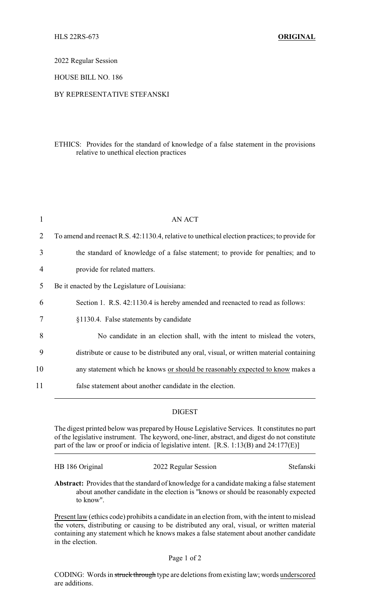2022 Regular Session

HOUSE BILL NO. 186

## BY REPRESENTATIVE STEFANSKI

## ETHICS: Provides for the standard of knowledge of a false statement in the provisions relative to unethical election practices

| 1  | <b>AN ACT</b>                                                                                 |
|----|-----------------------------------------------------------------------------------------------|
| 2  | To amend and reenact R.S. 42:1130.4, relative to unethical election practices; to provide for |
| 3  | the standard of knowledge of a false statement; to provide for penalties; and to              |
| 4  | provide for related matters.                                                                  |
| 5  | Be it enacted by the Legislature of Louisiana:                                                |
| 6  | Section 1. R.S. 42:1130.4 is hereby amended and reenacted to read as follows:                 |
| 7  | §1130.4. False statements by candidate                                                        |
| 8  | No candidate in an election shall, with the intent to mislead the voters,                     |
| 9  | distribute or cause to be distributed any oral, visual, or written material containing        |
| 10 | any statement which he knows or should be reasonably expected to know makes a                 |
| 11 | false statement about another candidate in the election.                                      |

## DIGEST

The digest printed below was prepared by House Legislative Services. It constitutes no part of the legislative instrument. The keyword, one-liner, abstract, and digest do not constitute part of the law or proof or indicia of legislative intent. [R.S. 1:13(B) and 24:177(E)]

HB 186 Original 2022 Regular Session Stefanski

**Abstract:** Provides that the standard of knowledge for a candidate making a false statement about another candidate in the election is "knows or should be reasonably expected to know".

Present law (ethics code) prohibits a candidate in an election from, with the intent to mislead the voters, distributing or causing to be distributed any oral, visual, or written material containing any statement which he knows makes a false statement about another candidate in the election.

## Page 1 of 2

CODING: Words in struck through type are deletions from existing law; words underscored are additions.